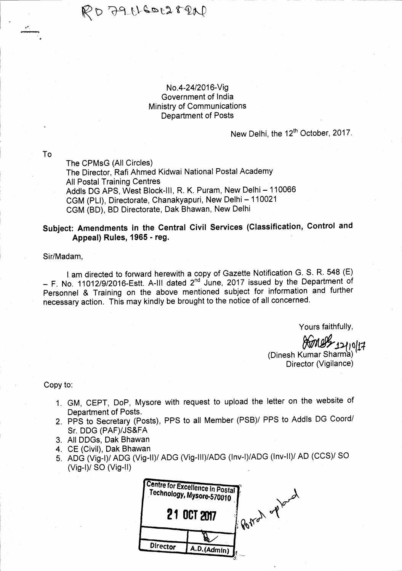$R$ D  $39$  cheors real

## No.4-2412016-Vig Government of India Ministry of Communications Department of Posts

## New Delhi, the 12<sup>th</sup> October, 2017.

To

.\* د<br><del>... ........</del>

The CPMsG (All Circles) The Director, Rafi Ahmed Kidwai National Postal Academy All Postal Training Centres Addls DG APS, West Block-III, R. K. Puram, New Delhi - 110066 CGM (PLI), Directorate, Chanakyapuri, New Delhi - 110021 CGM (BD), BD Directorate, Dak Bhawan, New Delhi

# Subject: Amendments in the Central Civil Services (Classification, Control and Appeal) Rules, 1965 - reg.

### Sir/Madam,

I am directed to forward herewith a copy of Gazette Notification G. S. R. 548 (E)  $-$  F. No. 11012/9/2016-Estt. A-III dated  $2<sup>nd</sup>$  June, 2017 issued by the Department of Personnel & Training on the above mentioned subject for information and further necessary action. This may kindly be brought to the notice of all concerned.

Yours faithfullY,

 $\chi_{014}$ 

(Dinesh Kumar Sharmb)' Director (Vigilance)

Copy to:

- 1. GM, CEPT, DoP, MYsore with request to upload the letter on the website of Department of Posts.
- 2. PPS to Secretary (Posts), PPS to all Member (PSB)/ PPS to Addls DG Coord/ Sr. DDG (PAF)/JS&FA
- 3, All DDGs, Dak Bhawan
- 4. CE (Civil), Dak Bhawan
- 5. ADG (Vig-I)/ ADG (Vig-II)/ ADG (Vig-III)/ADG (Inv-I)/ADG (Inv-II)/ AD (CCS)/ SO (Vig-l)/ SO (Vig-ll)

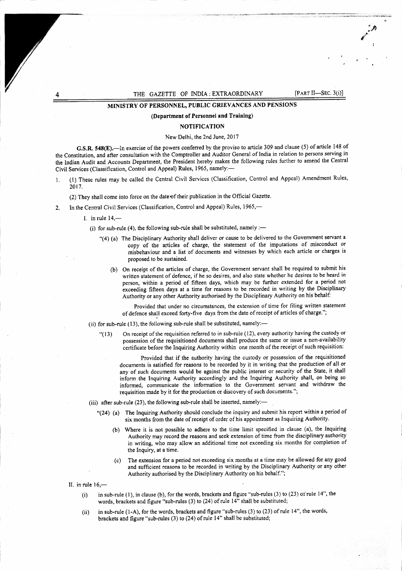#### THE GAZETTE OF INDIA : EXTRAORDINARY [PART II-SEC. 3(i)]

!P,  $\cdot$  . # t

## MINISTRY OF PERSONNEL, PUBLIC GRIEVANCES AND PENSIONS

#### (Department of Personnel and Training)

#### NOTIFICATION

#### New Delhi, thc 2nd June, 2017

G.S.R. 548(E).-In exercise of the powers conferred by the proviso to article 309 and clause (5) of article 148 of the Constitution, and after consultation with the Comptroller and Auditor General of India in relation to persons serving in the lndian Audit and Accounts Department, the President hereby makes the following rules further to amend the Central Civil Services (Classification, Control and Appeal) Rules, 1965, namely:-

l. (l) These rules may be called the Central Civil Serviccs (Classification, Control and Appeal) Amcndment Rules, 2017,

(2) They shall come into force on the date of their publication in the Official Gazette.

2. In the Central Civil Services (Classification, Control and Appeal) Rules, 1965,—

1. in rule  $14,$ —

(i) for sub-rule (4), the following sub-rule shall be substituted, namely :-

- "(4) (a) The Disciplinary Authority shall deliver or cause to be delivered to the Government servant a copy of the articles of charge, the statement of the imputations of misconducl or misbehaviour and a list of documents and witnesses by which each article or charges is proposed to be sustained.
	- (b) On receipt of the articles of charge, the Government servant shall be required to submit his written statement of defence, if he so desires, and also state whether he desires to be heard in person, within a period of fifteen days, which may be further extended for a period not exceeding fifteen days at a time for reasons to be recorded in writing by the Disciplinary Authority or any other Authority authorised by the Disciplinary Authority on his behalf:

Provided that under no circumstances, the extension of time for filing written statement of defence shall exceed forty-five days from the date of receipt of articles of charge.";

- (ii) for sub-rule (13), the following sub-rule shall be substituted, namely:—
	- "( I3) On receipt of the requisition refered to in sub-rule ( t2), every authority having the custody or possession of the requisitioned documents shall produce the same or issue a non-availability certificate before the Inquiring Authority within one month of the receipt of such requisition:

Provided that if the authority having the custody or possession of the requisitioned documents is satisfied for reasons to be recorded by it in writing that the production of all or any of such documents would be against the public interest or security of the State, it shall inform the Inquiring Authority accordingly and the Inquiring Authority shalt, on being so informed, communicate the information to the Government servant and withdraw the requisition made by it for the production or discovery of such documents.";

- (iii) after sub-rule (23), the following sub-rule shall be inserted, namely:-
	- "(24) (a) The Inquiring Authority should conclude the inquiry and submit his report within a period of six months from the date of receipt of order of his appointment as Inquiring Authority.
		- (b) Where it is not possible to adhere to the time limit specified in clause (a), the Inquiring Authority may record the rcasons and scek extension of time from the disciplinary authority in writing, who may allow an additional time not exceeding six months for completion of the Inquiry, at a time.
		- (c) The cxtcnsion for a period not exceeding six months at a time may be allowed for any good and sufficicnt reasons to be recorded in writing by the Disciplinary Authority or any other Authority authorised by the Disciplinary Authority on his behalf.";

II. in rule  $16$ , $-$ 

- in sub-rule (1), in clause (b), for the words, brackets and figure "sub-rules (3) to (23) or rule 14", the  $(i)$ words, brackets and figure "sub-rules (3) to (24) of rule 14" shall be substituted;
- (ii) in sub-rule (1-A), for the words, brackets and figure "sub-rules (3) to (23) of rule 14", the words, brackets and figure "sub-rules (3) to (24) ofrule 14" shall be substituted;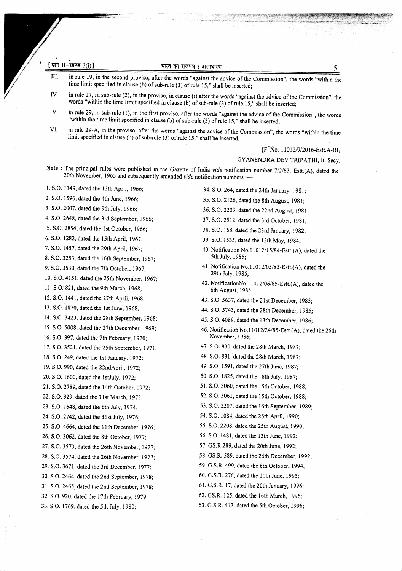|  | [ श्वाग 11-खण्ड $3(i)$ ] |  |
|--|--------------------------|--|

in rule 19, in the second proviso, after the words "against the advice of the Commission", the words "within the time limit specified in clause (b) of sub-rule (3) of ruie 15," shall be inserted; IlI.

- in rule 27, in sub-rule (2), in the proviso, in clause (i) after the words "against the advice of the Commission", the words "within the time limit specified in clause (b) of sub-rule (3) of rule 15," shall be inserted; IV.
- in rule 29, in sub-rule (1), in the first proviso, after the words "against the advice of the Commission", the words "within the time limit specified in clause (b) of sub-rule (3) of rule 15," shall be inserted; V,
- in rule 29-A, in the proviso, after the words "against the advice of the Commission", the words "within the time limit specified in clause (b) of sub-rule (3) of rule 15," shall be inserted. VI.

 $[F. No. 11012/9/2016-Estt.A-III]$ 

CYANENDRA DEV TRIPATHI, Jt. Secy.

Note : The principal rules were published in the Gazette of India vide notification number 7/2/63. Estt.(A), dated the 20th November, 1965 and subsequently amended vide notification numbers :-

l. S.O. I 149, dated the l3th April, 1966;

2. S.O. 1596, dated the 4th June, 1966:

3. S.O .2007, dated the 9th July, 1966;

4. S.O. 2648, dated the 3rd September, 1966;

5. S.O. 2854, dated the I st October, 1966;

6. S.O. 1282, dated the 15th April, 1967:

7. S.O, 1457, dated the 29th April, 1967;

8. S.O. 3253, dated the l6th September, 1967;

9. S.O. 3530, dated the 7th October, 1967;

10. S.O.4151, dated the 25th Novernber, 1967;

11. S.O. 821, dated the 9th March, 1968;

12. S.O. 1441, dated the 27th April, 1968;

13. S,O. l8?0, dated the lst June, 1968;

14, S,O. 3423, dated the 28th Seprember, 196g;

15. S,O.5008, dated the2Tth December, 1969;

16. S,O. 397, dated the 7th February, 1970;

17. S,O. 3521, dated the 25th September, 197i;

18. S.O. 249, dated the 1st January, 1972;

19. S.O. 990, dated the Z2ndApril, l97Z;

20, S.O. 1600, dated the I stJuly, L97Z:

21. S.O.2789,dated the l4th October, 1972:

22. S.O. 929, dated the 31st March, 1973;

23. S.O. 1648, dated the 6th July, 1974;

24. S.O.2742, dated the 3lst July, 1976;

25. S.O.4664, dated the I lth December, 1976:

26. S.O.3062, dated the 8th October, 1977;

27. S,O ,3573, dated the 26th November, 1977;

28. S;O.3574, dated the 26th November, 1977:

29. S.O. 3671, dated the 3rd December, 1977:

30. S.O .2464, dated the 2nd September, l97B; 31. S.O. 2465, dated the 2nd September, 1978;

32, S;O . 920, dated the l Tth February, 1979;

33. S,O. 1769, dated the 5th July, 1980;

- 34. S O. 264, dated the 24th January, l98l;
- 35. S.O. 2126, dated the 8th August, 1981;
- 36. S.O. 2203, dated the 22nd August, 1981
- 37. S.O. 25 12, dated the 3rd October, l98l;
- 3E. S.O. 168, dated the 23rd January, I 982;
- 39. S.O. I535, dated the l2thMay, l9g4;
- 40. Notification No.11012/15/84-Estt. $(A)$ , dated the 5th July, 1985;
- 41. Notification No.l l0l2/05/85-8sft.(A), dated the 29th July, 1985;
- 42. NotificationNo.11012/06/85-Estt. $(A)$ , dated the 6th August, 1985;
- 43. S.O. 5637, dated the 21st December, 1985;
- 44. S.O. 5743, dated the 28th December, 1985;
- 45. S.O, 4089, dated the l3th Decernber, 1986;
- 46. Notification No.11012/24/85-Estt.(A), dated the 26th November, 1986;
- 47. S.O. 830, dated the 28th March, 1987;
- 48. S.O. 831, dared the 28th March, l9B7;
- 49. S.O. 1591, dated the 27th June, 1987;
- 50. S.O. 1825, dated the 18th July. 1987;
- 51. S.O. 3060, dated the 15th October, 1988;
- 52. S.O. 3061, dated rhe l5th October, 1988;
- 53. S.O. 2207, dated the 16th September, 1989;

54. S.O. 1084, dated the 28th April, 1990;

- 55, S.O.2208, dated the 25th August, 1990;
- 56, S.O. 1481, dated the 13th June, 1992;
- 57. CS.R 289, dated the 20th June, 1992;
- 58. CS,R. 589, dated the 26th December, I 992;
- 59. G,S.R. 499, dated the 8th October, 1994;
- 60. G.S.R. 276, dated the 10th June, 1995;
- 6l , G,S.R. 17 , dated the 20th January , 1996;
- 62. GS.R, 125, dated the l6th March, 1995;
- 63. G.S,R. 4I7,dated the 5th October, 1996;

5